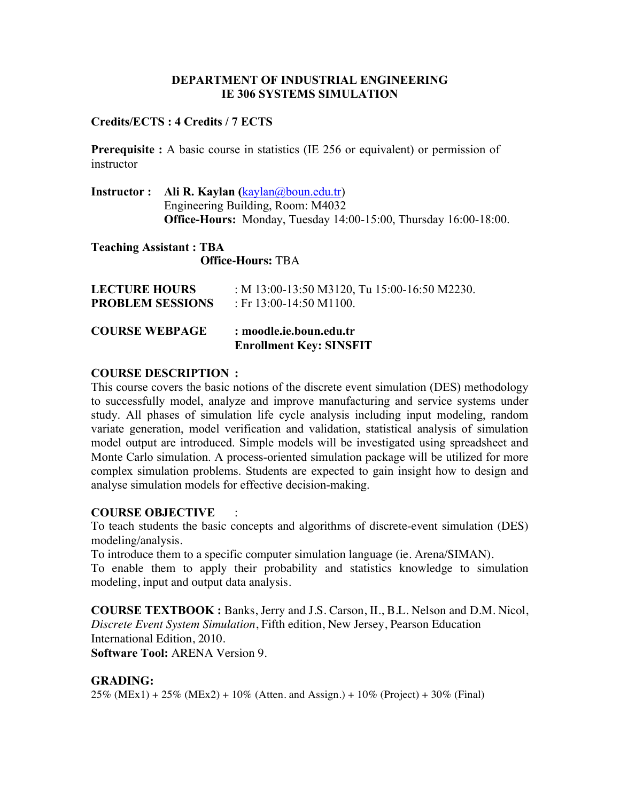# **DEPARTMENT OF INDUSTRIAL ENGINEERING IE 306 SYSTEMS SIMULATION**

# **Credits/ECTS : 4 Credits / 7 ECTS**

**Prerequisite :** A basic course in statistics (IE 256 or equivalent) or permission of instructor

**Instructor : Ali R. Kaylan (**kaylan@boun.edu.tr) Engineering Building, Room: M4032 **Office-Hours:** Monday, Tuesday 14:00-15:00, Thursday 16:00-18:00.

**Teaching Assistant : TBA Office-Hours:** TBA

| <b>COURSE WEBPAGE</b>   | : moodle.ie.boun.edu.tr<br><b>Enrollment Key: SINSFIT</b> |
|-------------------------|-----------------------------------------------------------|
| <b>LECTURE HOURS</b>    | : M 13:00-13:50 M3120, Tu 15:00-16:50 M2230.              |
| <b>PROBLEM SESSIONS</b> | : Fr $13:00-14:50$ M1100.                                 |

# **COURSE DESCRIPTION :**

This course covers the basic notions of the discrete event simulation (DES) methodology to successfully model, analyze and improve manufacturing and service systems under study. All phases of simulation life cycle analysis including input modeling, random variate generation, model verification and validation, statistical analysis of simulation model output are introduced. Simple models will be investigated using spreadsheet and Monte Carlo simulation. A process-oriented simulation package will be utilized for more complex simulation problems. Students are expected to gain insight how to design and analyse simulation models for effective decision-making.

# **COURSE OBJECTIVE** :

To teach students the basic concepts and algorithms of discrete-event simulation (DES) modeling/analysis.

To introduce them to a specific computer simulation language (ie. Arena/SIMAN).

To enable them to apply their probability and statistics knowledge to simulation modeling, input and output data analysis.

**COURSE TEXTBOOK :** Banks, Jerry and J.S. Carson, II., B.L. Nelson and D.M. Nicol, *Discrete Event System Simulation*, Fifth edition, New Jersey, Pearson Education International Edition, 2010.

**Software Tool:** ARENA Version 9.

# **GRADING:**

 $25\%$  (MEx1) +  $25\%$  (MEx2) +  $10\%$  (Atten. and Assign.) +  $10\%$  (Project) +  $30\%$  (Final)